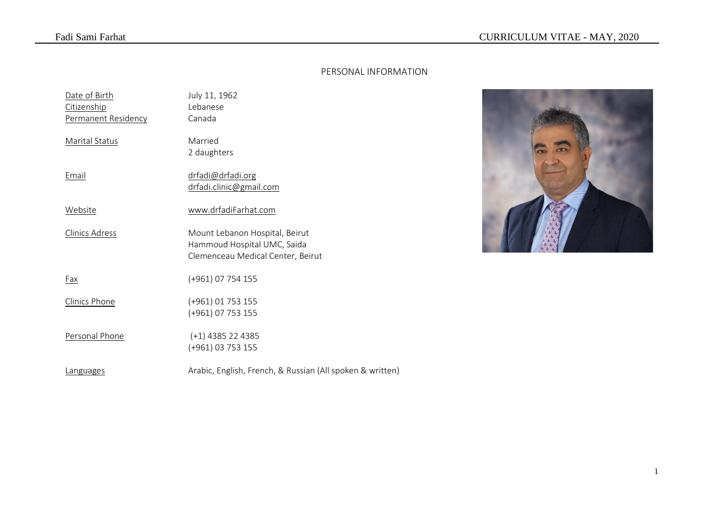# PERSONAL INFORMATION

| Date of Birth<br>Citizenship<br>Permanent Residency | July 11, 1962<br>Lebanese<br>Canada                                                                |
|-----------------------------------------------------|----------------------------------------------------------------------------------------------------|
| Marital Status                                      | Married<br>2 daughters                                                                             |
| Email                                               | drfadi@drfadi.org<br>drfadi.clinic@gmail.com                                                       |
| Website                                             | www.drfadiFarhat.com                                                                               |
| Clinics Adress                                      | Mount Lebanon Hospital, Beirut<br>Hammoud Hospital UMC, Saida<br>Clemenceau Medical Center, Beirut |
| Fax                                                 | (+961) 07 754 155                                                                                  |
| <b>Clinics Phone</b>                                | (+961) 01 753 155<br>(+961) 07 753 155                                                             |
| Personal Phone                                      | $(+1)$ 4385 22 4385<br>(+961) 03 753 155                                                           |
| Languages                                           | Arabic, English, French, & Russian (All spoken & written)                                          |

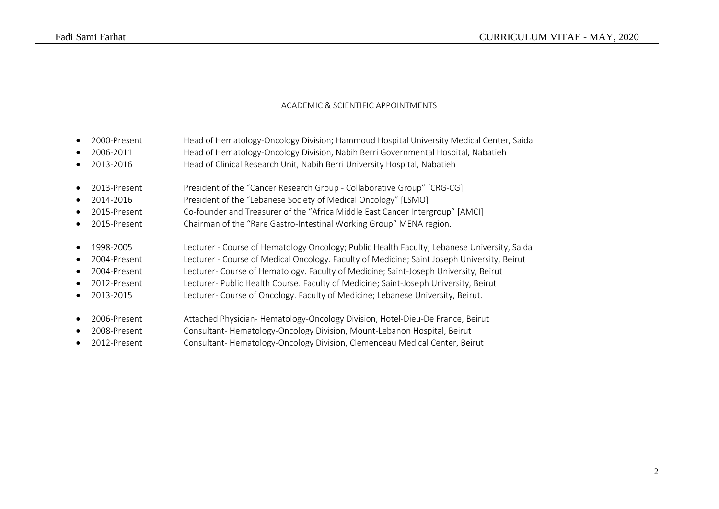## ACADEMIC & SCIENTIFIC APPOINTMENTS

| 2000-Present |  |  |  |  |  |  |  | Head of Hematology-Oncology Division; Hammoud Hospital University Medical Center, Saida |  |  |  |  |
|--------------|--|--|--|--|--|--|--|-----------------------------------------------------------------------------------------|--|--|--|--|
|              |  |  |  |  |  |  |  |                                                                                         |  |  |  |  |

- 2006-2011 Head of Hematology-Oncology Division, Nabih Berri Governmental Hospital, Nabatieh
- 2013-2016 Head of Clinical Research Unit, Nabih Berri University Hospital, Nabatieh
- 2013-Present President of the "Cancer Research Group Collaborative Group" [CRG-CG]
- 2014-2016 President of the "Lebanese Society of Medical Oncology" [LSMO]
- 2015-Present Co-founder and Treasurer of the "Africa Middle East Cancer Intergroup" [AMCI]
- 2015-Present Chairman of the "Rare Gastro-Intestinal Working Group" MENA region.
- 1998-2005 Lecturer Course of Hematology Oncology; Public Health Faculty; Lebanese University, Saida
- 2004-Present Lecturer Course of Medical Oncology. Faculty of Medicine; Saint Joseph University, Beirut
- 2004-Present Lecturer- Course of Hematology. Faculty of Medicine; Saint-Joseph University, Beirut
- 2012-Present Lecturer- Public Health Course. Faculty of Medicine; Saint-Joseph University, Beirut
- 2013-2015 Lecturer- Course of Oncology. Faculty of Medicine; Lebanese University, Beirut.
- 2006-Present Attached Physician- Hematology-Oncology Division, Hotel-Dieu-De France, Beirut
- 2008-Present Consultant- Hematology-Oncology Division, Mount-Lebanon Hospital, Beirut
- 2012-Present Consultant- Hematology-Oncology Division, Clemenceau Medical Center, Beirut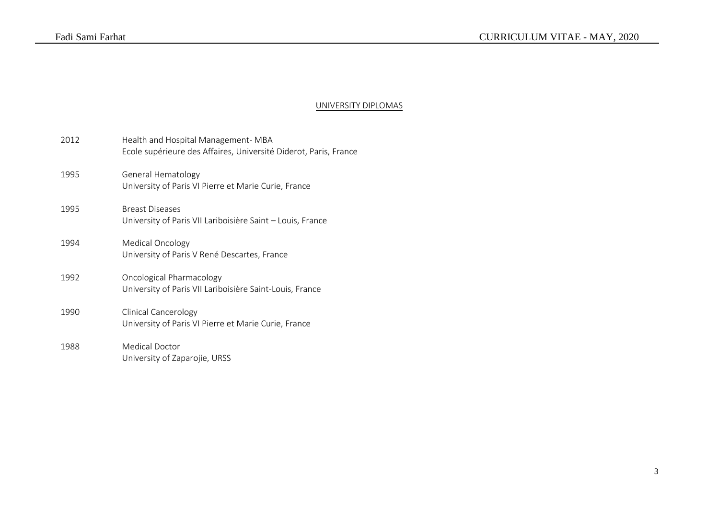## UNIVERSITY DIPLOMAS

| 2012 | Health and Hospital Management-MBA<br>Ecole supérieure des Affaires, Université Diderot, Paris, France |
|------|--------------------------------------------------------------------------------------------------------|
| 1995 | <b>General Hematology</b><br>University of Paris VI Pierre et Marie Curie, France                      |
| 1995 | <b>Breast Diseases</b><br>University of Paris VII Lariboisière Saint - Louis, France                   |
| 1994 | Medical Oncology<br>University of Paris V René Descartes, France                                       |
| 1992 | Oncological Pharmacology<br>University of Paris VII Lariboisière Saint-Louis, France                   |
| 1990 | <b>Clinical Cancerology</b><br>University of Paris VI Pierre et Marie Curie, France                    |
| 1988 | Medical Doctor<br>University of Zaparojie, URSS                                                        |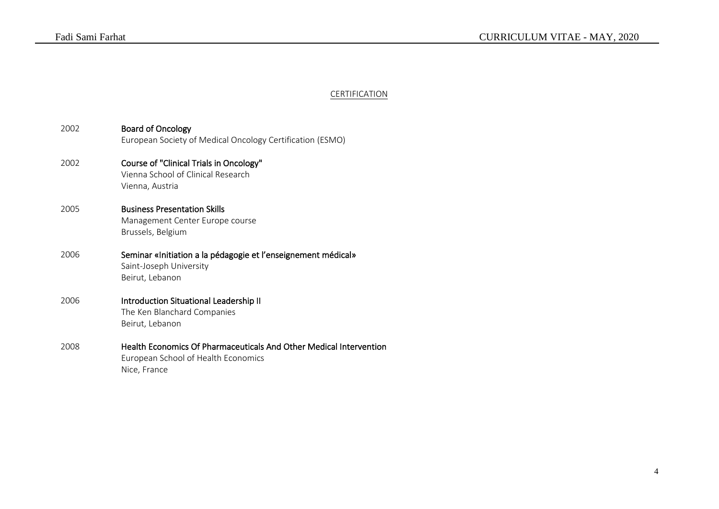## **CERTIFICATION**

| 2002 | <b>Board of Oncology</b><br>European Society of Medical Oncology Certification (ESMO)                                     |
|------|---------------------------------------------------------------------------------------------------------------------------|
| 2002 | Course of "Clinical Trials in Oncology"<br>Vienna School of Clinical Research<br>Vienna, Austria                          |
| 2005 | <b>Business Presentation Skills</b><br>Management Center Europe course<br>Brussels, Belgium                               |
| 2006 | Seminar «Initiation a la pédagogie et l'enseignement médical»<br>Saint-Joseph University<br>Beirut, Lebanon               |
| 2006 | Introduction Situational Leadership II<br>The Ken Blanchard Companies<br>Beirut, Lebanon                                  |
| 2008 | Health Economics Of Pharmaceuticals And Other Medical Intervention<br>European School of Health Economics<br>Nice, France |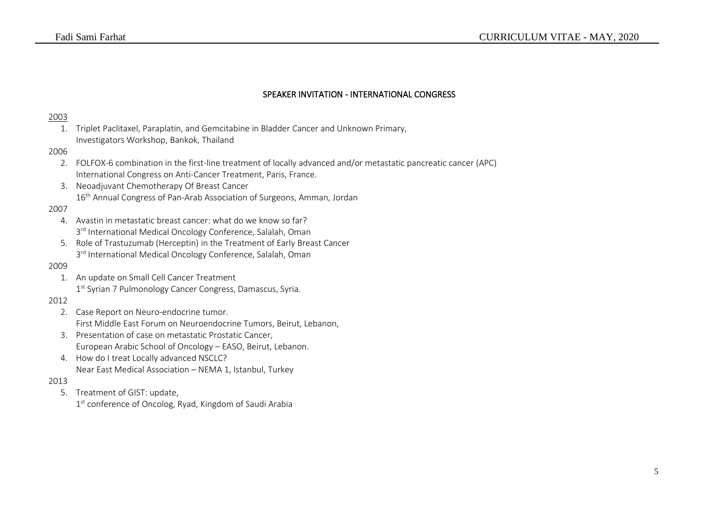### SPEAKER INVITATION - INTERNATIONAL CONGRESS

#### 2003

1. Triplet Paclitaxel, Paraplatin, and Gemcitabine in Bladder Cancer and Unknown Primary, Investigators Workshop, Bankok, Thailand

#### 2006

- 2. FOLFOX-6 combination in the first-line treatment of locally advanced and/or metastatic pancreatic cancer (APC) International Congress on Anti-Cancer Treatment, Paris, France.
- 3. Neoadjuvant Chemotherapy Of Breast Cancer 16<sup>th</sup> Annual Congress of Pan-Arab Association of Surgeons, Amman, Jordan

### 2007

- 4. Avastin in metastatic breast cancer: what do we know so far? 3<sup>rd</sup> International Medical Oncology Conference, Salalah, Oman
- 5. Role of Trastuzumab (Herceptin) in the Treatment of Early Breast Cancer 3<sup>rd</sup> International Medical Oncology Conference, Salalah, Oman

#### 2009

1. An update on Small Cell Cancer Treatment 1<sup>st</sup> Syrian 7 Pulmonology Cancer Congress, Damascus, Syria.

#### 2012

- 2. Case Report on Neuro-endocrine tumor. First Middle East Forum on Neuroendocrine Tumors, Beirut, Lebanon,
- 3. Presentation of case on metastatic Prostatic Cancer, European Arabic School of Oncology – EASO, Beirut, Lebanon.
- 4. How do I treat Locally advanced NSCLC? Near East Medical Association – NEMA 1, Istanbul, Turkey

#### 2013

- 5. Treatment of GIST: update,
	- 1<sup>st</sup> conference of Oncolog, Ryad, Kingdom of Saudi Arabia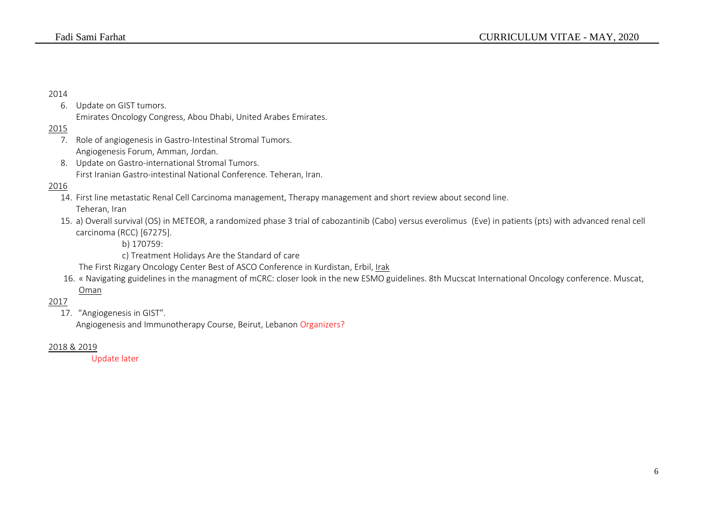2014

## 6. Update on GIST tumors.

Emirates Oncology Congress, Abou Dhabi, United Arabes Emirates.

## 2015

- 7. Role of angiogenesis in Gastro-Intestinal Stromal Tumors. Angiogenesis Forum, Amman, Jordan.
- 8. Update on Gastro-international Stromal Tumors. First Iranian Gastro-intestinal National Conference. Teheran, Iran.

## 2016

- 14. First line metastatic Renal Cell Carcinoma management, Therapy management and short review about second line. Teheran, Iran
- 15. a) Overall survival (OS) in METEOR, a randomized phase 3 trial of cabozantinib (Cabo) versus everolimus (Eve) in patients (pts) with advanced renal cell carcinoma (RCC) [67275].

b) 170759:

c) Treatment Holidays Are the Standard of care

The First Rizgary Oncology Center Best of ASCO Conference in Kurdistan, Erbil, Irak

16. « Navigating guidelines in the managment of mCRC: closer look in the new ESMO guidelines. 8th Mucscat International Oncology conference. Muscat, Oman

## 2017

17. "Angiogenesis in GIST".

Angiogenesis and Immunotherapy Course, Beirut, Lebanon Organizers?

#### 2018 & 2019

Update later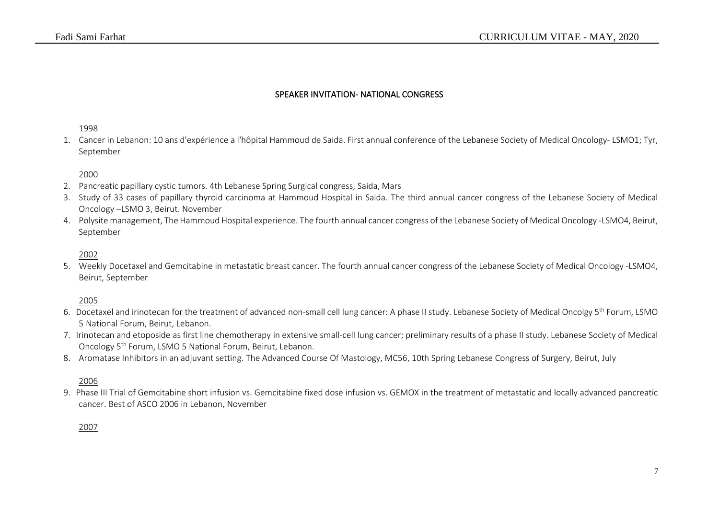## SPEAKER INVITATION- NATIONAL CONGRESS

#### 1998

1. Cancer in Lebanon: 10 ans d'expérience a l'hôpital Hammoud de Saida. First annual conference of the Lebanese Society of Medical Oncology- LSMO1; Tyr, September

### 2000

- 2. Pancreatic papillary cystic tumors. 4th Lebanese Spring Surgical congress, Saida, Mars
- 3. Study of 33 cases of papillary thyroid carcinoma at Hammoud Hospital in Saida. The third annual cancer congress of the Lebanese Society of Medical Oncology –LSMO 3, Beirut. November
- 4. Polysite management, The Hammoud Hospital experience. The fourth annual cancer congress of the Lebanese Society of Medical Oncology -LSMO4, Beirut, September

#### 2002

5. Weekly Docetaxel and Gemcitabine in metastatic breast cancer. The fourth annual cancer congress of the Lebanese Society of Medical Oncology -LSMO4, Beirut, September

#### 2005

- 6. Docetaxel and irinotecan for the treatment of advanced non-small cell lung cancer: A phase II study. Lebanese Society of Medical Oncolgy 5<sup>th</sup> Forum, LSMO 5 National Forum, Beirut, Lebanon.
- 7. Irinotecan and etoposide as first line chemotherapy in extensive small-cell lung cancer; preliminary results of a phase II study. Lebanese Society of Medical Oncology 5<sup>th</sup> Forum, LSMO 5 National Forum, Beirut, Lebanon.
- 8. Aromatase Inhibitors in an adjuvant setting. The Advanced Course Of Mastology, MC56, 10th Spring Lebanese Congress of Surgery, Beirut, July

2006

9. Phase III Trial of Gemcitabine short infusion vs. Gemcitabine fixed dose infusion vs. GEMOX in the treatment of metastatic and locally advanced pancreatic cancer. Best of ASCO 2006 in Lebanon, November

#### 2007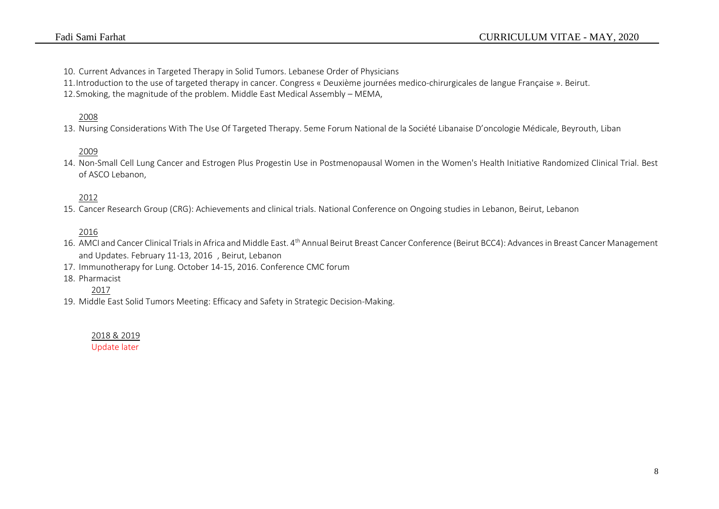10. Current Advances in Targeted Therapy in Solid Tumors. Lebanese Order of Physicians

11.Introduction to the use of targeted therapy in cancer. Congress « Deuxième journées medico-chirurgicales de langue Française ». Beirut.

12.Smoking, the magnitude of the problem. Middle East Medical Assembly – MEMA,

## 2008

13. Nursing Considerations With The Use Of Targeted Therapy. 5eme Forum National de la Société Libanaise D'oncologie Médicale, Beyrouth, Liban

## 2009

14. Non-Small Cell Lung Cancer and Estrogen Plus Progestin Use in Postmenopausal Women in the Women's Health Initiative Randomized Clinical Trial. Best of ASCO Lebanon,

## 2012

15. Cancer Research Group (CRG): Achievements and clinical trials. National Conference on Ongoing studies in Lebanon, Beirut, Lebanon

## 2016

- 16. AMCI and Cancer Clinical Trials in Africa and Middle East. 4<sup>th</sup> Annual Beirut Breast Cancer Conference (Beirut BCC4): Advances in Breast Cancer Management and Updates. February 11-13, 2016 , Beirut, Lebanon
- 17. Immunotherapy for Lung. October 14-15, 2016. Conference CMC forum
- 18. Pharmacist
	- 2017
- 19. Middle East Solid Tumors Meeting: Efficacy and Safety in Strategic Decision-Making.

2018 & 2019 Update later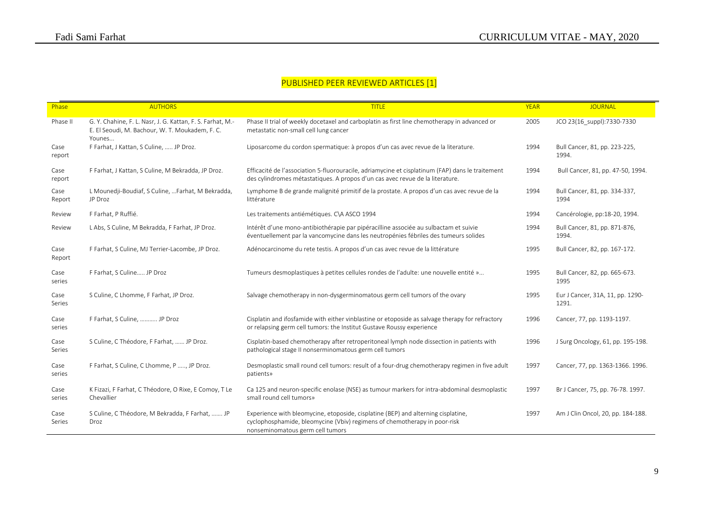# PUBLISHED PEER REVIEWED ARTICLES [1]

| Phase          | <b>AUTHORS</b>                                                                                                          | <b>TITLE</b>                                                                                                                                                                                       | <b>YEAR</b> | <b>JOURNAL</b>                            |
|----------------|-------------------------------------------------------------------------------------------------------------------------|----------------------------------------------------------------------------------------------------------------------------------------------------------------------------------------------------|-------------|-------------------------------------------|
| Phase II       | G. Y. Chahine, F. L. Nasr, J. G. Kattan, F. S. Farhat, M.-<br>E. El Seoudi, M. Bachour, W. T. Moukadem, F. C.<br>Younes | Phase II trial of weekly docetaxel and carboplatin as first line chemotherapy in advanced or<br>metastatic non-small cell lung cancer                                                              | 2005        | JCO 23(16 suppl):7330-7330                |
| Case<br>report | F Farhat, J Kattan, S Culine,  JP Droz.                                                                                 | Liposarcome du cordon spermatique: à propos d'un cas avec revue de la literature.                                                                                                                  | 1994        | Bull Cancer, 81, pp. 223-225,<br>1994.    |
| Case<br>report | F Farhat, J Kattan, S Culine, M Bekradda, JP Droz.                                                                      | Efficacité de l'association 5-fluorouracile, adriamycine et cisplatinum (FAP) dans le traitement<br>des cylindromes métastatiques. A propos d'un cas avec revue de la literature.                  | 1994        | Bull Cancer, 81, pp. 47-50, 1994.         |
| Case<br>Report | L Mounedji-Boudiaf, S Culine,  Farhat, M Bekradda,<br>JP Droz                                                           | Lymphome B de grande malignité primitif de la prostate. A propos d'un cas avec revue de la<br>littérature                                                                                          | 1994        | Bull Cancer, 81, pp. 334-337,<br>1994     |
| Review         | F Farhat, P Ruffié.                                                                                                     | Les traitements antiémétiques. C\A ASCO 1994                                                                                                                                                       | 1994        | Cancérologie, pp:18-20, 1994.             |
| Review         | L Abs, S Culine, M Bekradda, F Farhat, JP Droz.                                                                         | Intérêt d'une mono-antibiothérapie par pipéracilline associée au sulbactam et suivie<br>éventuellement par la vancomycine dans les neutropénies fébriles des tumeurs solides                       | 1994        | Bull Cancer, 81, pp. 871-876,<br>1994.    |
| Case<br>Report | F Farhat, S Culine, MJ Terrier-Lacombe, JP Droz.                                                                        | Adénocarcinome du rete testis. A propos d'un cas avec revue de la littérature                                                                                                                      | 1995        | Bull Cancer, 82, pp. 167-172.             |
| Case<br>series | F Farhat, S Culine JP Droz                                                                                              | Tumeurs desmoplastiques à petites cellules rondes de l'adulte: une nouvelle entité »                                                                                                               | 1995        | Bull Cancer, 82, pp. 665-673.<br>1995     |
| Case<br>Series | S Culine, C Lhomme, F Farhat, JP Droz.                                                                                  | Salvage chemotherapy in non-dysgerminomatous germ cell tumors of the ovary                                                                                                                         | 1995        | Eur J Cancer, 31A, 11, pp. 1290-<br>1291. |
| Case<br>series | F Farhat, S Culine,  JP Droz                                                                                            | Cisplatin and ifosfamide with either vinblastine or etoposide as salvage therapy for refractory<br>or relapsing germ cell tumors: the Institut Gustave Roussy experience                           | 1996        | Cancer, 77, pp. 1193-1197.                |
| Case<br>Series | S Culine, C Théodore, F Farhat,  JP Droz.                                                                               | Cisplatin-based chemotherapy after retroperitoneal lymph node dissection in patients with<br>pathological stage II nonserminomatous germ cell tumors                                               | 1996        | J Surg Oncology, 61, pp. 195-198.         |
| Case<br>series | F Farhat, S Culine, C Lhomme, P , JP Droz.                                                                              | Desmoplastic small round cell tumors: result of a four-drug chemotherapy regimen in five adult<br>patients»                                                                                        | 1997        | Cancer, 77, pp. 1363-1366. 1996.          |
| Case<br>series | K Fizazi, F Farhat, C Théodore, O Rixe, E Comoy, T Le<br>Chevallier                                                     | Ca 125 and neuron-specific enolase (NSE) as tumour markers for intra-abdominal desmoplastic<br>small round cell tumors»                                                                            | 1997        | Br J Cancer, 75, pp. 76-78. 1997.         |
| Case<br>Series | S Culine, C Théodore, M Bekradda, F Farhat,  JP<br>Droz                                                                 | Experience with bleomycine, etoposide, cisplatine (BEP) and alterning cisplatine,<br>cyclophosphamide, bleomycine (Vbiv) regimens of chemotherapy in poor-risk<br>nonseminomatous germ cell tumors | 1997        | Am J Clin Oncol, 20, pp. 184-188.         |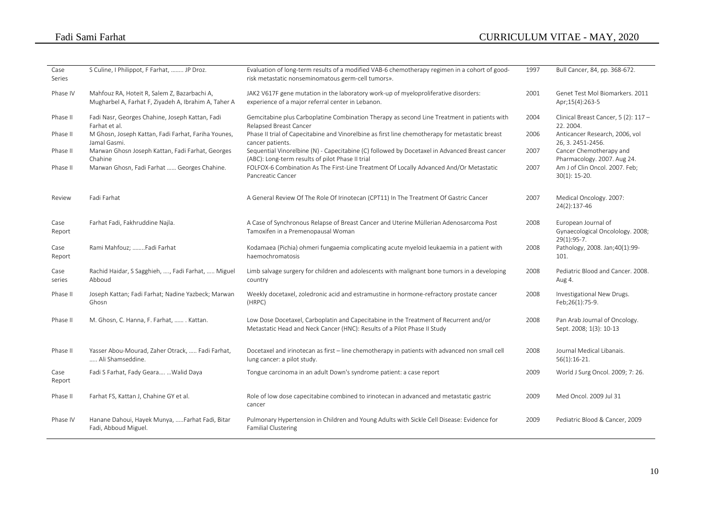|  |  | Fadi Sami Farhat |
|--|--|------------------|
|--|--|------------------|

| Case<br>Series | S Culine, I Philippot, F Farhat,  JP Droz.                                                           | Evaluation of long-term results of a modified VAB-6 chemotherapy regimen in a cohort of good-<br>risk metastatic nonseminomatous germ-cell tumors».               | 1997 | Bull Cancer, 84, pp. 368-672.                                            |
|----------------|------------------------------------------------------------------------------------------------------|-------------------------------------------------------------------------------------------------------------------------------------------------------------------|------|--------------------------------------------------------------------------|
| Phase IV       | Mahfouz RA, Hoteit R, Salem Z, Bazarbachi A,<br>Mugharbel A, Farhat F, Ziyadeh A, Ibrahim A, Taher A | JAK2 V617F gene mutation in the laboratory work-up of myeloproliferative disorders:<br>experience of a major referral center in Lebanon.                          | 2001 | Genet Test Mol Biomarkers, 2011<br>Apr;15(4):263-5                       |
| Phase II       | Fadi Nasr, Georges Chahine, Joseph Kattan, Fadi<br>Farhat et al.                                     | Gemcitabine plus Carboplatine Combination Therapy as second Line Treatment in patients with<br>Relapsed Breast Cancer                                             | 2004 | Clinical Breast Cancer, 5 (2): 117 -<br>22.2004.                         |
| Phase II       | M Ghosn, Joseph Kattan, Fadi Farhat, Fariha Younes,<br>Jamal Gasmi.                                  | Phase II trial of Capecitabine and Vinorelbine as first line chemotherapy for metastatic breast<br>cancer patients.                                               | 2006 | Anticancer Research, 2006, vol<br>26, 3. 2451-2456.                      |
| Phase II       | Marwan Ghosn Joseph Kattan, Fadi Farhat, Georges<br>Chahine                                          | Sequential Vinorelbine (N) - Capecitabine (C) followed by Docetaxel in Advanced Breast cancer<br>(ABC): Long-term results of pilot Phase II trial                 | 2007 | Cancer Chemotherapy and<br>Pharmacology. 2007. Aug 24.                   |
| Phase II       | Marwan Ghosn, Fadi Farhat  Georges Chahine.                                                          | FOLFOX-6 Combination As The First-Line Treatment Of Locally Advanced And/Or Metastatic<br>Pancreatic Cancer                                                       | 2007 | Am J of Clin Oncol. 2007. Feb;<br>$30(1): 15-20.$                        |
| Review         | Fadi Farhat                                                                                          | A General Review Of The Role Of Irinotecan (CPT11) In The Treatment Of Gastric Cancer                                                                             | 2007 | Medical Oncology. 2007:<br>24(2):137-46                                  |
| Case<br>Report | Farhat Fadi, Fakhruddine Najla.                                                                      | A Case of Synchronous Relapse of Breast Cancer and Uterine Müllerian Adenosarcoma Post<br>Tamoxifen in a Premenopausal Woman                                      | 2008 | European Journal of<br>Gynaecological Oncolology. 2008;<br>$29(1):95-7.$ |
| Case<br>Report | Rami Mahfouz; Fadi Farhat                                                                            | Kodamaea (Pichia) ohmeri fungaemia complicating acute myeloid leukaemia in a patient with<br>haemochromatosis                                                     | 2008 | Pathology, 2008. Jan;40(1):99-<br>101.                                   |
| Case<br>series | Rachid Haidar, S Sagghieh, , Fadi Farhat,  Miguel<br>Abboud                                          | Limb salvage surgery for children and adolescents with malignant bone tumors in a developing<br>country                                                           | 2008 | Pediatric Blood and Cancer, 2008.<br>Aug 4.                              |
| Phase II       | Joseph Kattan; Fadi Farhat; Nadine Yazbeck; Marwan<br>Ghosn                                          | Weekly docetaxel, zoledronic acid and estramustine in hormone-refractory prostate cancer<br>(HRPC)                                                                | 2008 | Investigational New Drugs.<br>Feb;26(1):75-9.                            |
| Phase II       | M. Ghosn, C. Hanna, F. Farhat,  Kattan.                                                              | Low Dose Docetaxel, Carboplatin and Capecitabine in the Treatment of Recurrent and/or<br>Metastatic Head and Neck Cancer (HNC): Results of a Pilot Phase II Study | 2008 | Pan Arab Journal of Oncology.<br>Sept. 2008; 1(3): 10-13                 |
| Phase II       | Yasser Abou-Mourad, Zaher Otrack,  Fadi Farhat,<br>Ali Shamseddine.                                  | Docetaxel and irinotecan as first - line chemotherapy in patients with advanced non small cell<br>lung cancer: a pilot study.                                     | 2008 | Journal Medical Libanais.<br>$56(1):16-21.$                              |
| Case<br>Report | Fadi S Farhat, Fady Geara  Walid Daya                                                                | Tongue carcinoma in an adult Down's syndrome patient: a case report                                                                                               | 2009 | World J Surg Oncol. 2009; 7: 26.                                         |
| Phase II       | Farhat FS, Kattan J, Chahine GY et al.                                                               | Role of low dose capecitabine combined to irinotecan in advanced and metastatic gastric<br>cancer                                                                 | 2009 | Med Oncol. 2009 Jul 31                                                   |
| Phase IV       | Hanane Dahoui, Hayek Munya, Farhat Fadi, Bitar<br>Fadi, Abboud Miguel.                               | Pulmonary Hypertension in Children and Young Adults with Sickle Cell Disease: Evidence for<br><b>Familial Clustering</b>                                          | 2009 | Pediatric Blood & Cancer, 2009                                           |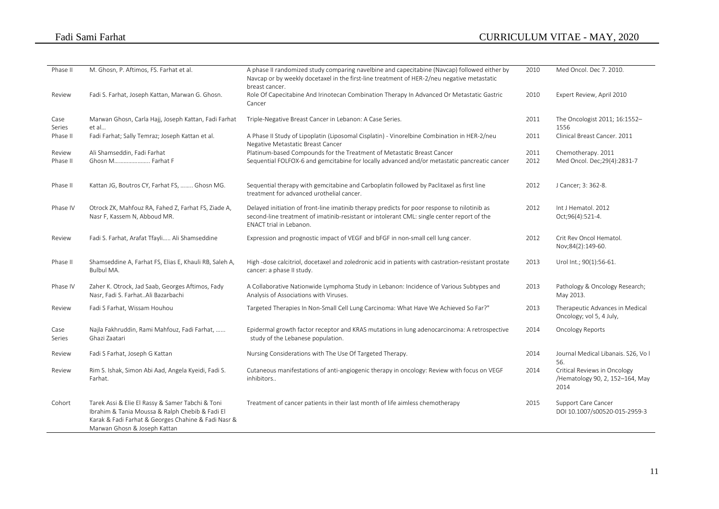| Phase II       | M. Ghosn, P. Aftimos, FS. Farhat et al.                                                                                                                                                    | A phase II randomized study comparing navelbine and capecitabine (Navcap) followed either by<br>Navcap or by weekly docetaxel in the first-line treatment of HER-2/neu negative metastatic<br>breast cancer.          | 2010 | Med Oncol. Dec 7. 2010.                                                 |
|----------------|--------------------------------------------------------------------------------------------------------------------------------------------------------------------------------------------|-----------------------------------------------------------------------------------------------------------------------------------------------------------------------------------------------------------------------|------|-------------------------------------------------------------------------|
| Review         | Fadi S. Farhat, Joseph Kattan, Marwan G. Ghosn.                                                                                                                                            | Role Of Capecitabine And Irinotecan Combination Therapy In Advanced Or Metastatic Gastric<br>Cancer                                                                                                                   | 2010 | Expert Review, April 2010                                               |
| Case<br>Series | Marwan Ghosn, Carla Hajj, Joseph Kattan, Fadi Farhat<br>et al                                                                                                                              | Triple-Negative Breast Cancer in Lebanon: A Case Series.                                                                                                                                                              | 2011 | The Oncologist 2011; 16:1552-<br>1556                                   |
| Phase II       | Fadi Farhat; Sally Temraz; Joseph Kattan et al.                                                                                                                                            | A Phase II Study of Lipoplatin (Liposomal Cisplatin) - Vinorelbine Combination in HER-2/neu<br>Negative Metastatic Breast Cancer                                                                                      | 2011 | Clinical Breast Cancer. 2011                                            |
| Review         | Ali Shamseddin, Fadi Farhat                                                                                                                                                                | Platinum-based Compounds for the Treatment of Metastatic Breast Cancer                                                                                                                                                | 2011 | Chemotherapy. 2011                                                      |
| Phase II       | Ghosn M Farhat F                                                                                                                                                                           | Sequential FOLFOX-6 and gemcitabine for locally advanced and/or metastatic pancreatic cancer                                                                                                                          | 2012 | Med Oncol. Dec; 29(4): 2831-7                                           |
| Phase II       | Kattan JG, Boutros CY, Farhat FS,  Ghosn MG.                                                                                                                                               | Sequential therapy with gemcitabine and Carboplatin followed by Paclitaxel as first line<br>treatment for advanced urothelial cancer.                                                                                 | 2012 | J Cancer; 3: 362-8.                                                     |
| Phase IV       | Otrock ZK, Mahfouz RA, Fahed Z, Farhat FS, Ziade A,<br>Nasr F, Kassem N, Abboud MR.                                                                                                        | Delayed initiation of front-line imatinib therapy predicts for poor response to nilotinib as<br>second-line treatment of imatinib-resistant or intolerant CML: single center report of the<br>ENACT trial in Lebanon. | 2012 | Int J Hematol. 2012<br>Oct;96(4):521-4.                                 |
| Review         | Fadi S. Farhat, Arafat Tfayli Ali Shamseddine                                                                                                                                              | Expression and prognostic impact of VEGF and bFGF in non-small cell lung cancer.                                                                                                                                      | 2012 | Crit Rev Oncol Hematol.<br>Nov;84(2):149-60.                            |
| Phase II       | Shamseddine A, Farhat FS, Elias E, Khauli RB, Saleh A,<br>Bulbul MA.                                                                                                                       | High-dose calcitriol, docetaxel and zoledronic acid in patients with castration-resistant prostate<br>cancer: a phase II study.                                                                                       | 2013 | Urol Int.; 90(1):56-61.                                                 |
| Phase IV       | Zaher K. Otrock, Jad Saab, Georges Aftimos, Fady<br>Nasr, Fadi S. FarhatAli Bazarbachi                                                                                                     | A Collaborative Nationwide Lymphoma Study in Lebanon: Incidence of Various Subtypes and<br>Analysis of Associations with Viruses.                                                                                     | 2013 | Pathology & Oncology Research;<br>May 2013.                             |
| Review         | Fadi S Farhat, Wissam Houhou                                                                                                                                                               | Targeted Therapies In Non-Small Cell Lung Carcinoma: What Have We Achieved So Far?"                                                                                                                                   | 2013 | Therapeutic Advances in Medical<br>Oncology; vol 5, 4 July,             |
| Case<br>Series | Najla Fakhruddin, Rami Mahfouz, Fadi Farhat,<br>Ghazi Zaatari                                                                                                                              | Epidermal growth factor receptor and KRAS mutations in lung adenocarcinoma: A retrospective<br>study of the Lebanese population.                                                                                      | 2014 | Oncology Reports                                                        |
| Review         | Fadi S Farhat, Joseph G Kattan                                                                                                                                                             | Nursing Considerations with The Use Of Targeted Therapy.                                                                                                                                                              | 2014 | Journal Medical Libanais. S26, Vol<br>56.                               |
| Review         | Rim S. Ishak, Simon Abi Aad, Angela Kyeidi, Fadi S.<br>Farhat.                                                                                                                             | Cutaneous manifestations of anti-angiogenic therapy in oncology: Review with focus on VEGF<br>inhibitors                                                                                                              | 2014 | Critical Reviews in Oncology<br>/Hematology 90, 2, 152-164, May<br>2014 |
| Cohort         | Tarek Assi & Elie El Rassy & Samer Tabchi & Toni<br>Ibrahim & Tania Moussa & Ralph Chebib & Fadi El<br>Karak & Fadi Farhat & Georges Chahine & Fadi Nasr &<br>Marwan Ghosn & Joseph Kattan | Treatment of cancer patients in their last month of life aimless chemotherapy                                                                                                                                         | 2015 | Support Care Cancer<br>DOI 10.1007/s00520-015-2959-3                    |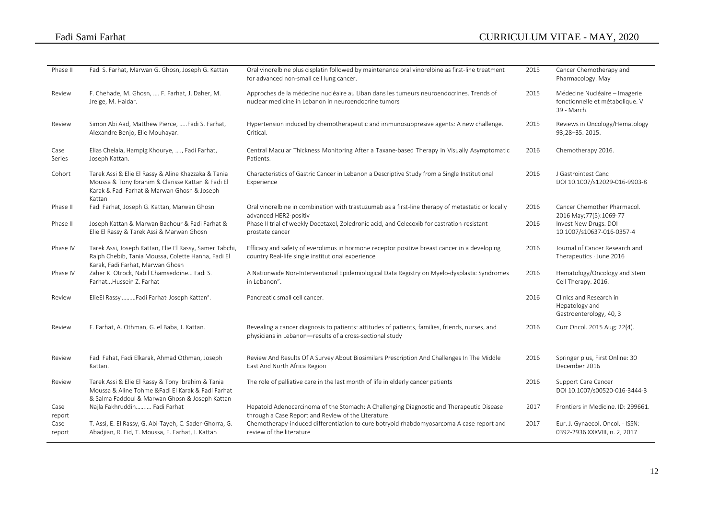# Fadi Sami Farhat CURRICULUM VITAE - MAY, 2020

| Phase II       | Fadi S. Farhat, Marwan G. Ghosn, Joseph G. Kattan                                                                                                                 | Oral vinorelbine plus cisplatin followed by maintenance oral vinorelbine as first-line treatment<br>for advanced non-small cell lung cancer.                | 2015 | Cancer Chemotherapy and<br>Pharmacology. May                                    |
|----------------|-------------------------------------------------------------------------------------------------------------------------------------------------------------------|-------------------------------------------------------------------------------------------------------------------------------------------------------------|------|---------------------------------------------------------------------------------|
| Review         | F. Chehade, M. Ghosn,  F. Farhat, J. Daher, M.<br>Jreige, M. Haidar.                                                                                              | Approches de la médecine nucléaire au Liban dans les tumeurs neuroendocrines. Trends of<br>nuclear medicine in Lebanon in neuroendocrine tumors             | 2015 | Médecine Nucléaire - Imagerie<br>fonctionnelle et métabolique. V<br>39 - March. |
| Review         | Simon Abi Aad, Matthew Pierce, Fadi S. Farhat,<br>Alexandre Benjo, Elie Mouhayar.                                                                                 | Hypertension induced by chemotherapeutic and immunosuppresive agents: A new challenge.<br>Critical.                                                         | 2015 | Reviews in Oncology/Hematology<br>93;28-35.2015.                                |
| Case<br>Series | Elias Chelala, Hampig Khourye, , Fadi Farhat,<br>Joseph Kattan.                                                                                                   | Central Macular Thickness Monitoring After a Taxane-based Therapy in Visually Asymptomatic<br>Patients.                                                     | 2016 | Chemotherapy 2016.                                                              |
| Cohort         | Tarek Assi & Elie El Rassy & Aline Khazzaka & Tania<br>Moussa & Tony Ibrahim & Clarisse Kattan & Fadi El<br>Karak & Fadi Farhat & Marwan Ghosn & Joseph<br>Kattan | Characteristics of Gastric Cancer in Lebanon a Descriptive Study from a Single Institutional<br>Experience                                                  | 2016 | J Gastrointest Canc<br>DOI 10.1007/s12029-016-9903-8                            |
| Phase II       | Fadi Farhat, Joseph G. Kattan, Marwan Ghosn                                                                                                                       | Oral vinorelbine in combination with trastuzumab as a first-line therapy of metastatic or locally<br>advanced HER2-positiv                                  | 2016 | Cancer Chemother Pharmacol.<br>2016 May; 77(5): 1069-77                         |
| Phase II       | Joseph Kattan & Marwan Bachour & Fadi Farhat &<br>Elie El Rassy & Tarek Assi & Marwan Ghosn                                                                       | Phase II trial of weekly Docetaxel, Zoledronic acid, and Celecoxib for castration-resistant<br>prostate cancer                                              | 2016 | Invest New Drugs. DOI<br>10.1007/s10637-016-0357-4                              |
| Phase IV       | Tarek Assi, Joseph Kattan, Elie El Rassy, Samer Tabchi,<br>Ralph Chebib, Tania Moussa, Colette Hanna, Fadi El<br>Karak, Fadi Farhat, Marwan Ghosn                 | Efficacy and safety of everolimus in hormone receptor positive breast cancer in a developing<br>country Real-life single institutional experience           | 2016 | Journal of Cancer Research and<br>Therapeutics · June 2016                      |
| Phase IV       | Zaher K. Otrock, Nabil Chamseddine Fadi S.<br>FarhatHussein Z. Farhat                                                                                             | A Nationwide Non-Interventional Epidemiological Data Registry on Myelo-dysplastic Syndromes<br>in Lebanon".                                                 | 2016 | Hematology/Oncology and Stem<br>Cell Therapy. 2016.                             |
| Review         | ElieEl Rassy  Fadi Farhat Joseph Kattan <sup>a</sup> .                                                                                                            | Pancreatic small cell cancer.                                                                                                                               | 2016 | Clinics and Research in<br>Hepatology and<br>Gastroenterology, 40, 3            |
| Review         | F. Farhat, A. Othman, G. el Baba, J. Kattan.                                                                                                                      | Revealing a cancer diagnosis to patients: attitudes of patients, families, friends, nurses, and<br>physicians in Lebanon-results of a cross-sectional study | 2016 | Curr Oncol. 2015 Aug; 22(4).                                                    |
| Review         | Fadi Fahat, Fadi Elkarak, Ahmad Othman, Joseph<br>Kattan.                                                                                                         | Review And Results Of A Survey About Biosimilars Prescription And Challenges In The Middle<br>East And North Africa Region                                  | 2016 | Springer plus, First Online: 30<br>December 2016                                |
| Review         | Tarek Assi & Elie El Rassy & Tony Ibrahim & Tania<br>Moussa & Aline Tohme & Fadi El Karak & Fadi Farhat<br>& Salma Faddoul & Marwan Ghosn & Joseph Kattan         | The role of palliative care in the last month of life in elderly cancer patients                                                                            | 2016 | Support Care Cancer<br>DOI 10.1007/s00520-016-3444-3                            |
| Case<br>report | Najla Fakhruddin Fadi Farhat                                                                                                                                      | Hepatoid Adenocarcinoma of the Stomach: A Challenging Diagnostic and Therapeutic Disease<br>through a Case Report and Review of the Literature.             | 2017 | Frontiers in Medicine. ID: 299661.                                              |
| Case<br>report | T. Assi, E. El Rassy, G. Abi-Tayeh, C. Sader-Ghorra, G.<br>Abadjian, R. Eid, T. Moussa, F. Farhat, J. Kattan                                                      | Chemotherapy-induced differentiation to cure botryoid rhabdomyosarcoma A case report and<br>review of the literature                                        | 2017 | Eur. J. Gynaecol. Oncol. - ISSN:<br>0392-2936 XXXVIII, n. 2, 2017               |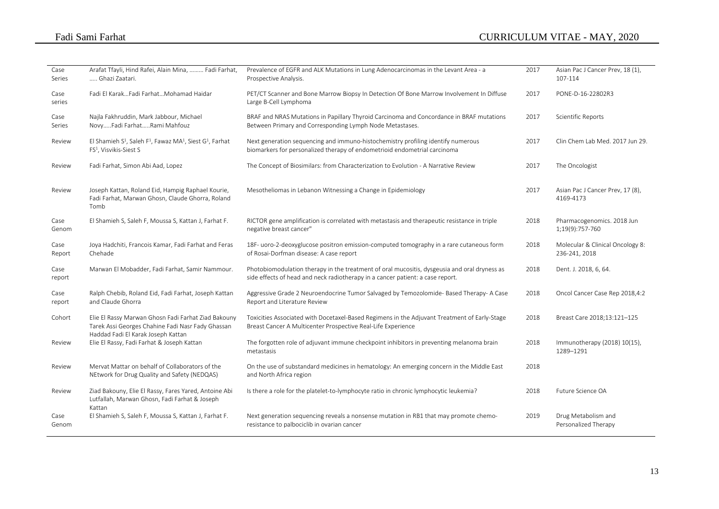| Case<br>Series | Arafat Tfayli, Hind Rafei, Alain Mina,  Fadi Farhat,<br>Ghazi Zaatari.                                                                         | Prevalence of EGFR and ALK Mutations in Lung Adenocarcinomas in the Levant Area - a<br>Prospective Analysis.                                                                   | 2017 | Asian Pac J Cancer Prev, 18 (1),<br>107-114       |
|----------------|------------------------------------------------------------------------------------------------------------------------------------------------|--------------------------------------------------------------------------------------------------------------------------------------------------------------------------------|------|---------------------------------------------------|
| Case<br>series | Fadi El KarakFadi FarhatMohamad Haidar                                                                                                         | PET/CT Scanner and Bone Marrow Biopsy In Detection Of Bone Marrow Involvement In Diffuse<br>Large B-Cell Lymphoma                                                              | 2017 | PONE-D-16-22802R3                                 |
| Case<br>Series | Najla Fakhruddin, Mark Jabbour, Michael<br>NovyFadi FarhatRami Mahfouz                                                                         | BRAF and NRAS Mutations in Papillary Thyroid Carcinoma and Concordance in BRAF mutations<br>Between Primary and Corresponding Lymph Node Metastases.                           | 2017 | Scientific Reports                                |
| Review         | El Shamieh S <sup>1</sup> , Saleh F <sup>1</sup> , Fawaz MA <sup>1</sup> , Siest G <sup>1</sup> , Farhat<br>FS <sup>1</sup> , Visvikis-Siest S | Next generation sequencing and immuno-histochemistry profiling identify numerous<br>biomarkers for personalized therapy of endometrioid endometrial carcinoma                  | 2017 | Clin Chem Lab Med. 2017 Jun 29.                   |
| Review         | Fadi Farhat, Simon Abi Aad, Lopez                                                                                                              | The Concept of Biosimilars: from Characterization to Evolution - A Narrative Review                                                                                            | 2017 | The Oncologist                                    |
| Review         | Joseph Kattan, Roland Eid, Hampig Raphael Kourie,<br>Fadi Farhat, Marwan Ghosn, Claude Ghorra, Roland<br>Tomb                                  | Mesotheliomas in Lebanon Witnessing a Change in Epidemiology                                                                                                                   | 2017 | Asian Pac J Cancer Prev, 17 (8),<br>4169-4173     |
| Case<br>Genom  | El Shamieh S, Saleh F, Moussa S, Kattan J, Farhat F.                                                                                           | RICTOR gene amplification is correlated with metastasis and therapeutic resistance in triple<br>negative breast cancer"                                                        | 2018 | Pharmacogenomics. 2018 Jun<br>1;19(9):757-760     |
| Case<br>Report | Joya Hadchiti, Francois Kamar, Fadi Farhat and Feras<br>Chehade                                                                                | 18F- uoro-2-deoxyglucose positron emission-computed tomography in a rare cutaneous form<br>of Rosai-Dorfman disease: A case report                                             | 2018 | Molecular & Clinical Oncology 8:<br>236-241, 2018 |
| Case<br>report | Marwan El Mobadder, Fadi Farhat, Samir Nammour.                                                                                                | Photobiomodulation therapy in the treatment of oral mucositis, dysgeusia and oral dryness as<br>side effects of head and neck radiotherapy in a cancer patient: a case report. | 2018 | Dent. J. 2018, 6, 64.                             |
| Case<br>report | Ralph Chebib, Roland Eid, Fadi Farhat, Joseph Kattan<br>and Claude Ghorra                                                                      | Aggressive Grade 2 Neuroendocrine Tumor Salvaged by Temozolomide- Based Therapy-A Case<br>Report and Literature Review                                                         | 2018 | Oncol Cancer Case Rep 2018,4:2                    |
| Cohort         | Elie El Rassy Marwan Ghosn Fadi Farhat Ziad Bakouny<br>Tarek Assi Georges Chahine Fadi Nasr Fady Ghassan                                       | Toxicities Associated with Docetaxel-Based Regimens in the Adjuvant Treatment of Early-Stage<br>Breast Cancer A Multicenter Prospective Real-Life Experience                   | 2018 | Breast Care 2018;13:121-125                       |
| Review         | Haddad Fadi El Karak Joseph Kattan<br>Elie El Rassy, Fadi Farhat & Joseph Kattan                                                               | The forgotten role of adjuvant immune checkpoint inhibitors in preventing melanoma brain<br>metastasis                                                                         | 2018 | Immunotherapy (2018) 10(15),<br>1289-1291         |
| Review         | Mervat Mattar on behalf of Collaborators of the<br>NEtwork for Drug Quality and Safety (NEDQAS)                                                | On the use of substandard medicines in hematology: An emerging concern in the Middle East<br>and North Africa region                                                           | 2018 |                                                   |
| Review         | Ziad Bakouny, Elie El Rassy, Fares Yared, Antoine Abi<br>Lutfallah, Marwan Ghosn, Fadi Farhat & Joseph                                         | Is there a role for the platelet-to-lymphocyte ratio in chronic lymphocytic leukemia?                                                                                          | 2018 | Future Science OA                                 |
| Case<br>Genom  | Kattan<br>El Shamieh S, Saleh F, Moussa S, Kattan J, Farhat F.                                                                                 | Next generation sequencing reveals a nonsense mutation in RB1 that may promote chemo-<br>resistance to palbociclib in ovarian cancer                                           | 2019 | Drug Metabolism and<br>Personalized Therapy       |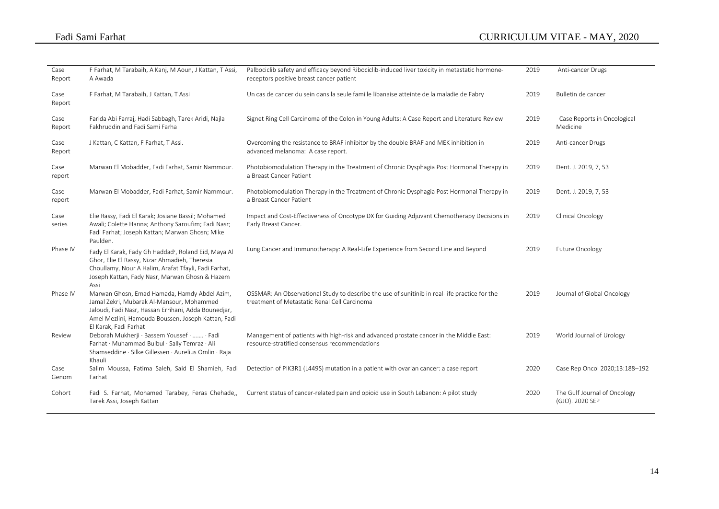# CURRICULUM VITAE - MAY, 2020

|  |  | Fadi Sami Farhat |
|--|--|------------------|
|--|--|------------------|

| Case<br>Report | F Farhat, M Tarabaih, A Kanj, M Aoun, J Kattan, T Assi,<br>A Awada                                                                                                                                                                  | Palbociclib safety and efficacy beyond Ribociclib-induced liver toxicity in metastatic hormone-<br>receptors positive breast cancer patient   | 2019 | Anti-cancer Drugs                               |
|----------------|-------------------------------------------------------------------------------------------------------------------------------------------------------------------------------------------------------------------------------------|-----------------------------------------------------------------------------------------------------------------------------------------------|------|-------------------------------------------------|
| Case<br>Report | F Farhat, M Tarabaih, J Kattan, T Assi                                                                                                                                                                                              | Un cas de cancer du sein dans la seule famille libanaise atteinte de la maladie de Fabry                                                      | 2019 | Bulletin de cancer                              |
| Case<br>Report | Farida Abi Farraj, Hadi Sabbagh, Tarek Aridi, Najla<br>Fakhruddin and Fadi Sami Farha                                                                                                                                               | Signet Ring Cell Carcinoma of the Colon in Young Adults: A Case Report and Literature Review                                                  | 2019 | Case Reports in Oncological<br>Medicine         |
| Case<br>Report | J Kattan, C Kattan, F Farhat, T Assi.                                                                                                                                                                                               | Overcoming the resistance to BRAF inhibitor by the double BRAF and MEK inhibition in<br>advanced melanoma: A case report.                     | 2019 | Anti-cancer Drugs                               |
| Case<br>report | Marwan El Mobadder, Fadi Farhat, Samir Nammour.                                                                                                                                                                                     | Photobiomodulation Therapy in the Treatment of Chronic Dysphagia Post Hormonal Therapy in<br>a Breast Cancer Patient                          | 2019 | Dent. J. 2019, 7, 53                            |
| Case<br>report | Marwan El Mobadder, Fadi Farhat, Samir Nammour.                                                                                                                                                                                     | Photobiomodulation Therapy in the Treatment of Chronic Dysphagia Post Hormonal Therapy in<br>a Breast Cancer Patient                          | 2019 | Dent. J. 2019, 7, 53                            |
| Case<br>series | Elie Rassy, Fadi El Karak; Josiane Bassil; Mohamed<br>Awali; Colette Hanna; Anthony Saroufim; Fadi Nasr;<br>Fadi Farhat; Joseph Kattan; Marwan Ghosn; Mike<br>Paulden.                                                              | Impact and Cost-Effectiveness of Oncotype DX for Guiding Adjuvant Chemotherapy Decisions in<br>Early Breast Cancer.                           | 2019 | Clinical Oncology                               |
| Phase IV       | Fady El Karak, Fady Gh Haddad <sup>,</sup> , Roland Eid, Maya Al<br>Ghor, Elie El Rassy, Nizar Ahmadieh, Theresia<br>Choullamy, Nour A Halim, Arafat Tfayli, Fadi Farhat,<br>Joseph Kattan, Fady Nasr, Marwan Ghosn & Hazem<br>Assi | Lung Cancer and Immunotherapy: A Real-Life Experience from Second Line and Beyond                                                             | 2019 | Future Oncology                                 |
| Phase IV       | Marwan Ghosn, Emad Hamada, Hamdy Abdel Azim,<br>Jamal Zekri, Mubarak Al-Mansour, Mohammed<br>Jaloudi, Fadi Nasr, Hassan Errihani, Adda Bounedjar,<br>Amel Mezlini, Hamouda Boussen, Joseph Kattan, Fadi<br>El Karak, Fadi Farhat    | OSSMAR: An Observational Study to describe the use of sunitinib in real-life practice for the<br>treatment of Metastatic Renal Cell Carcinoma | 2019 | Journal of Global Oncology                      |
| Review         | Deborah Mukherji · Bassem Youssef ·  · Fadi<br>Farhat · Muhammad Bulbul · Sally Temraz · Ali<br>Shamseddine · Silke Gillessen · Aurelius Omlin · Raja<br>Khauli                                                                     | Management of patients with high-risk and advanced prostate cancer in the Middle East:<br>resource-stratified consensus recommendations       | 2019 | World Journal of Urology                        |
| Case<br>Genom  | Salim Moussa, Fatima Saleh, Said El Shamieh, Fadi<br>Farhat                                                                                                                                                                         | Detection of PIK3R1 (L449S) mutation in a patient with ovarian cancer: a case report                                                          | 2020 | Case Rep Oncol 2020;13:188-192                  |
| Cohort         | Fadi S. Farhat, Mohamed Tarabey, Feras Chehade,,<br>Tarek Assi, Joseph Kattan                                                                                                                                                       | Current status of cancer-related pain and opioid use in South Lebanon: A pilot study                                                          | 2020 | The Gulf Journal of Oncology<br>(GJO). 2020 SEP |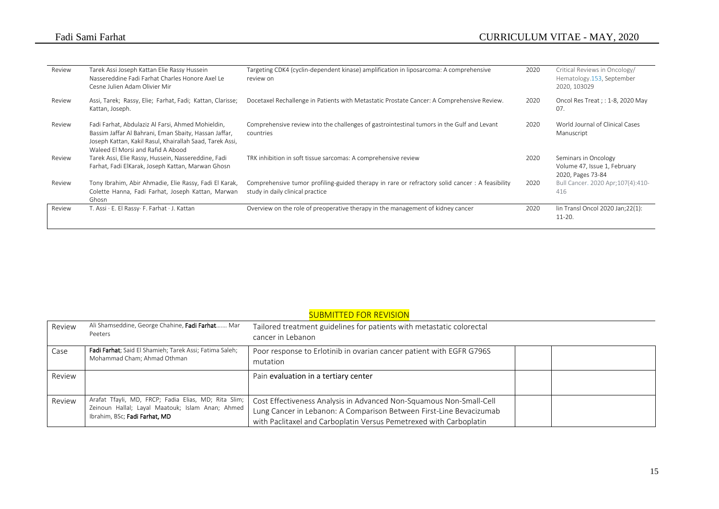| Review | Tarek Assi Joseph Kattan Elie Rassy Hussein<br>Nassereddine Fadi Farhat Charles Honore Axel Le<br>Cesne Julien Adam Olivier Mir                                                                             | Targeting CDK4 (cyclin-dependent kinase) amplification in liposarcoma: A comprehensive<br>review on                                 | 2020 | Critical Reviews in Oncology/<br>Hematology.153, September<br>2020, 103029 |
|--------|-------------------------------------------------------------------------------------------------------------------------------------------------------------------------------------------------------------|-------------------------------------------------------------------------------------------------------------------------------------|------|----------------------------------------------------------------------------|
| Review | Assi, Tarek; Rassy, Elie; Farhat, Fadi; Kattan, Clarisse;<br>Kattan, Joseph.                                                                                                                                | Docetaxel Rechallenge in Patients with Metastatic Prostate Cancer: A Comprehensive Review.                                          | 2020 | Oncol Res Treat ; : 1-8, 2020 May<br>07.                                   |
| Review | Fadi Farhat, Abdulaziz Al Farsi, Ahmed Mohieldin,<br>Bassim Jaffar Al Bahrani, Eman Sbaity, Hassan Jaffar,<br>Joseph Kattan, Kakil Rasul, Khairallah Saad, Tarek Assi,<br>Waleed El Morsi and Rafid A Abood | Comprehensive review into the challenges of gastrointestinal tumors in the Gulf and Levant<br>countries                             | 2020 | World Journal of Clinical Cases<br>Manuscript                              |
| Review | Tarek Assi, Elie Rassy, Hussein, Nassereddine, Fadi<br>Farhat, Fadi ElKarak, Joseph Kattan, Marwan Ghosn                                                                                                    | TRK inhibition in soft tissue sarcomas: A comprehensive review                                                                      | 2020 | Seminars in Oncology<br>Volume 47, Issue 1, February<br>2020, Pages 73-84  |
| Review | Tony Ibrahim, Abir Ahmadie, Elie Rassy, Fadi El Karak,<br>Colette Hanna, Fadi Farhat, Joseph Kattan, Marwan<br>Ghosn                                                                                        | Comprehensive tumor profiling-guided therapy in rare or refractory solid cancer : A feasibility<br>study in daily clinical practice | 2020 | Bull Cancer. 2020 Apr; 107(4):410-<br>416                                  |
| Review | T. Assi · E. El Rassy · F. Farhat · J. Kattan                                                                                                                                                               | Overview on the role of preoperative therapy in the management of kidney cancer                                                     | 2020 | lin Transl Oncol 2020 Jan; 22(1):<br>$11 - 20.$                            |

| Review | Ali Shamseddine, George Chahine, Fadi Farhat Mar<br>Peeters                                                                               | Tailored treatment guidelines for patients with metastatic colorectal<br>cancer in Lebanon                                                                                                                       |  |
|--------|-------------------------------------------------------------------------------------------------------------------------------------------|------------------------------------------------------------------------------------------------------------------------------------------------------------------------------------------------------------------|--|
| Case   | Fadi Farhat: Said El Shamieh: Tarek Assi: Fatima Saleh:<br>Mohammad Cham; Ahmad Othman                                                    | Poor response to Erlotinib in ovarian cancer patient with EGFR G796S<br>mutation                                                                                                                                 |  |
| Review |                                                                                                                                           | Pain evaluation in a tertiary center                                                                                                                                                                             |  |
| Review | Arafat Tfayli, MD, FRCP; Fadia Elias, MD; Rita Slim;<br>Zeinoun Hallal; Layal Maatouk; Islam Anan; Ahmed<br>Ibrahim, BSc; Fadi Farhat, MD | Cost Effectiveness Analysis in Advanced Non-Squamous Non-Small-Cell<br>Lung Cancer in Lebanon: A Comparison Between First-Line Bevacizumab<br>with Paclitaxel and Carboplatin Versus Pemetrexed with Carboplatin |  |

15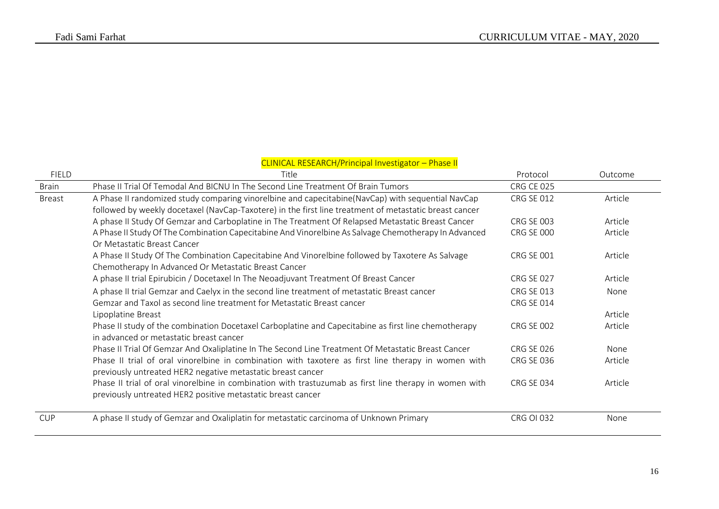|               | CLINICAL RESEARCH/Principal Investigator - Phase II                                                    |                   |         |
|---------------|--------------------------------------------------------------------------------------------------------|-------------------|---------|
| <b>FIELD</b>  | Title                                                                                                  | Protocol          | Outcome |
| <b>Brain</b>  | Phase II Trial Of Temodal And BICNU In The Second Line Treatment Of Brain Tumors                       | <b>CRG CE 025</b> |         |
| <b>Breast</b> | A Phase II randomized study comparing vinorelbine and capecitabine(NavCap) with sequential NavCap      | <b>CRG SE 012</b> | Article |
|               | followed by weekly docetaxel (NavCap-Taxotere) in the first line treatment of metastatic breast cancer |                   |         |
|               | A phase II Study Of Gemzar and Carboplatine in The Treatment Of Relapsed Metastatic Breast Cancer      | <b>CRG SE 003</b> | Article |
|               | A Phase II Study Of The Combination Capecitabine And Vinorelbine As Salvage Chemotherapy In Advanced   | <b>CRG SE 000</b> | Article |
|               | Or Metastatic Breast Cancer                                                                            |                   |         |
|               | A Phase II Study Of The Combination Capecitabine And Vinorelbine followed by Taxotere As Salvage       | <b>CRG SE 001</b> | Article |
|               | Chemotherapy In Advanced Or Metastatic Breast Cancer                                                   |                   |         |
|               | A phase II trial Epirubicin / Docetaxel In The Neoadjuvant Treatment Of Breast Cancer                  | <b>CRG SE 027</b> | Article |
|               | A phase II trial Gemzar and Caelyx in the second line treatment of metastatic Breast cancer            | <b>CRG SE 013</b> | None    |
|               | Gemzar and Taxol as second line treatment for Metastatic Breast cancer                                 | <b>CRG SE 014</b> |         |
|               | Lipoplatine Breast                                                                                     |                   | Article |
|               | Phase II study of the combination Docetaxel Carboplatine and Capecitabine as first line chemotherapy   | <b>CRG SE 002</b> | Article |
|               | in advanced or metastatic breast cancer                                                                |                   |         |
|               | Phase II Trial Of Gemzar And Oxaliplatine In The Second Line Treatment Of Metastatic Breast Cancer     | <b>CRG SE 026</b> | None    |
|               | Phase II trial of oral vinorelbine in combination with taxotere as first line therapy in women with    | <b>CRG SE 036</b> | Article |
|               | previously untreated HER2 negative metastatic breast cancer                                            |                   |         |
|               | Phase II trial of oral vinorelbine in combination with trastuzumab as first line therapy in women with | <b>CRG SE 034</b> | Article |
|               | previously untreated HER2 positive metastatic breast cancer                                            |                   |         |
| <b>CUP</b>    | A phase II study of Gemzar and Oxaliplatin for metastatic carcinoma of Unknown Primary                 | <b>CRG OI 032</b> | None    |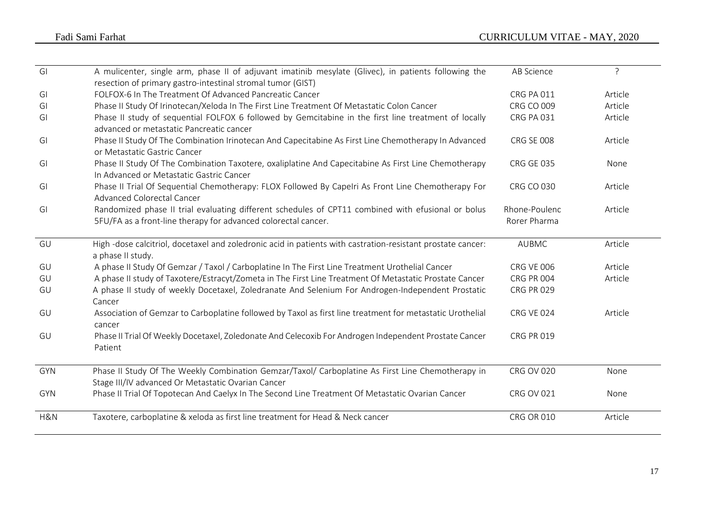| GI         | A mulicenter, single arm, phase II of adjuvant imatinib mesylate (Glivec), in patients following the                                             | AB Science        | ?       |
|------------|--------------------------------------------------------------------------------------------------------------------------------------------------|-------------------|---------|
|            | resection of primary gastro-intestinal stromal tumor (GIST)                                                                                      |                   |         |
| GI         | FOLFOX-6 In The Treatment Of Advanced Pancreatic Cancer                                                                                          | <b>CRG PA 011</b> | Article |
| GI         | Phase II Study Of Irinotecan/Xeloda In The First Line Treatment Of Metastatic Colon Cancer                                                       | <b>CRG CO 009</b> | Article |
| GI         | Phase II study of sequential FOLFOX 6 followed by Gemcitabine in the first line treatment of locally<br>advanced or metastatic Pancreatic cancer | <b>CRG PA 031</b> | Article |
| GI         | Phase II Study Of The Combination Irinotecan And Capecitabine As First Line Chemotherapy In Advanced<br>or Metastatic Gastric Cancer             | <b>CRG SE 008</b> | Article |
| GI         | Phase II Study Of The Combination Taxotere, oxaliplatine And Capecitabine As First Line Chemotherapy<br>In Advanced or Metastatic Gastric Cancer | <b>CRG GE 035</b> | None    |
| GI         | Phase II Trial Of Sequential Chemotherapy: FLOX Followed By Capelri As Front Line Chemotherapy For<br>Advanced Colorectal Cancer                 | <b>CRG CO 030</b> | Article |
| GI         | Randomized phase II trial evaluating different schedules of CPT11 combined with efusional or bolus                                               | Rhone-Poulenc     | Article |
|            | 5FU/FA as a front-line therapy for advanced colorectal cancer.                                                                                   | Rorer Pharma      |         |
| GU         |                                                                                                                                                  | <b>AUBMC</b>      | Article |
|            | High-dose calcitriol, docetaxel and zoledronic acid in patients with castration-resistant prostate cancer:<br>a phase II study.                  |                   |         |
| GU         | A phase II Study Of Gemzar / Taxol / Carboplatine In The First Line Treatment Urothelial Cancer                                                  | <b>CRG VE 006</b> | Article |
| GU         | A phase II study of Taxotere/Estracyt/Zometa in The First Line Treatment Of Metastatic Prostate Cancer                                           | <b>CRG PR 004</b> | Article |
| GU         | A phase II study of weekly Docetaxel, Zoledranate And Selenium For Androgen-Independent Prostatic<br>Cancer                                      | <b>CRG PR 029</b> |         |
| GU         | Association of Gemzar to Carboplatine followed by Taxol as first line treatment for metastatic Urothelial<br>cancer                              | <b>CRG VE 024</b> | Article |
| GU         | Phase II Trial Of Weekly Docetaxel, Zoledonate And Celecoxib For Androgen Independent Prostate Cancer<br>Patient                                 | <b>CRG PR 019</b> |         |
| <b>GYN</b> | Phase II Study Of The Weekly Combination Gemzar/Taxol/ Carboplatine As First Line Chemotherapy in                                                | <b>CRG OV 020</b> | None    |
|            | Stage III/IV advanced Or Metastatic Ovarian Cancer                                                                                               |                   |         |
| <b>GYN</b> | Phase II Trial Of Topotecan And Caelyx In The Second Line Treatment Of Metastatic Ovarian Cancer                                                 | <b>CRG OV 021</b> | None    |
| H&N        | Taxotere, carboplatine & xeloda as first line treatment for Head & Neck cancer                                                                   | <b>CRG OR 010</b> | Article |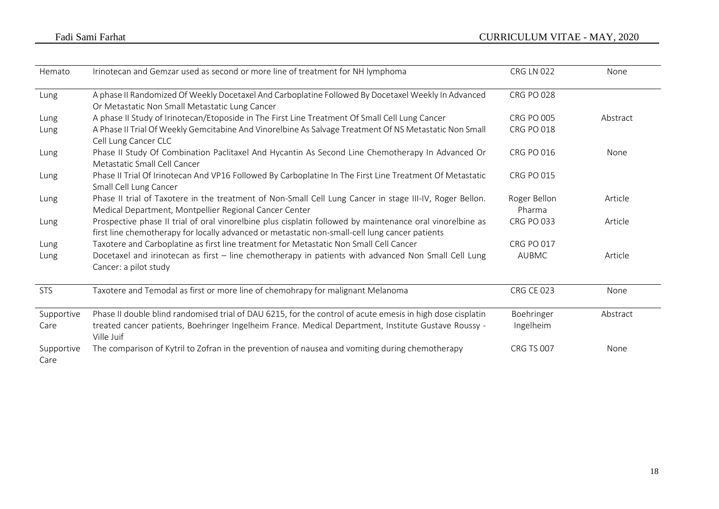| Hemato             | Irinotecan and Gemzar used as second or more line of treatment for NH lymphoma                                                                                                                              | <b>CRG LN 022</b>      | None     |
|--------------------|-------------------------------------------------------------------------------------------------------------------------------------------------------------------------------------------------------------|------------------------|----------|
| Lung               | A phase II Randomized Of Weekly Docetaxel And Carboplatine Followed By Docetaxel Weekly In Advanced<br>Or Metastatic Non Small Metastatic Lung Cancer                                                       | <b>CRG PO 028</b>      |          |
| Lung               | A phase II Study of Irinotecan/Etoposide in The First Line Treatment Of Small Cell Lung Cancer                                                                                                              | <b>CRG PO 005</b>      | Abstract |
| Lung               | A Phase II Trial Of Weekly Gemcitabine And Vinorelbine As Salvage Treatment Of NS Metastatic Non Small<br>Cell Lung Cancer CLC                                                                              | <b>CRG PO 018</b>      |          |
| Lung               | Phase II Study Of Combination Paclitaxel And Hycantin As Second Line Chemotherapy In Advanced Or<br>Metastatic Small Cell Cancer                                                                            | <b>CRG PO 016</b>      | None     |
| Lung               | Phase II Trial Of Irinotecan And VP16 Followed By Carboplatine In The First Line Treatment Of Metastatic<br>Small Cell Lung Cancer                                                                          | <b>CRG PO 015</b>      |          |
| Lung               | Phase II trial of Taxotere in the treatment of Non-Small Cell Lung Cancer in stage III-IV, Roger Bellon.<br>Medical Department, Montpellier Regional Cancer Center                                          | Roger Bellon<br>Pharma | Article  |
| Lung               | Prospective phase II trial of oral vinorelbine plus cisplatin followed by maintenance oral vinorelbine as<br>first line chemotherapy for locally advanced or metastatic non-small-cell lung cancer patients | <b>CRG PO 033</b>      | Article  |
| Lung               | Taxotere and Carboplatine as first line treatment for Metastatic Non Small Cell Cancer                                                                                                                      | <b>CRG PO 017</b>      |          |
| Lung               | Docetaxel and irinotecan as first - line chemotherapy in patients with advanced Non Small Cell Lung<br>Cancer: a pilot study                                                                                | <b>AUBMC</b>           | Article  |
| <b>STS</b>         | Taxotere and Temodal as first or more line of chemohrapy for malignant Melanoma                                                                                                                             | <b>CRG CE 023</b>      | None     |
| Supportive         | Phase II double blind randomised trial of DAU 6215, for the control of acute emesis in high dose cisplatin                                                                                                  | Boehringer             | Abstract |
| Care               | treated cancer patients, Boehringer Ingelheim France. Medical Department, Institute Gustave Roussy -<br>Ville Juif                                                                                          | Ingelheim              |          |
| Supportive<br>Care | The comparison of Kytril to Zofran in the prevention of nausea and vomiting during chemotherapy                                                                                                             | <b>CRG TS 007</b>      | None     |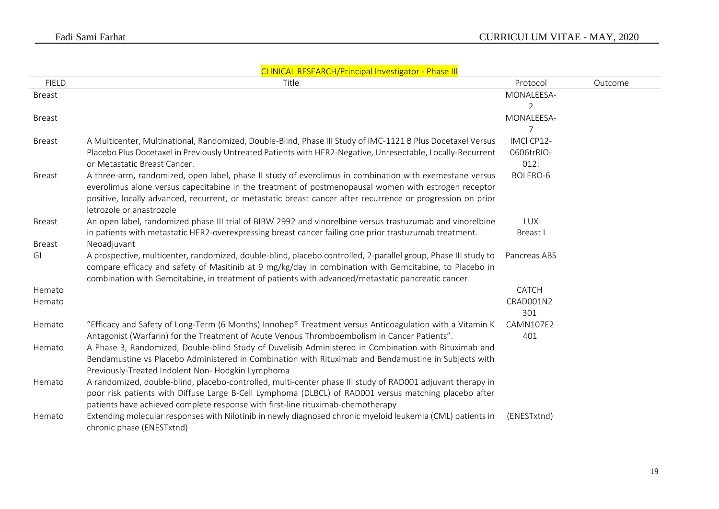| <b>CLINICAL RESEARCH/Principal Investigator - Phase III</b> |                                                                                                                                                                                                                                                                                                                               |                |         |  |
|-------------------------------------------------------------|-------------------------------------------------------------------------------------------------------------------------------------------------------------------------------------------------------------------------------------------------------------------------------------------------------------------------------|----------------|---------|--|
| <b>FIELD</b>                                                | Title                                                                                                                                                                                                                                                                                                                         | Protocol       | Outcome |  |
| Breast                                                      |                                                                                                                                                                                                                                                                                                                               | MONALEESA-     |         |  |
|                                                             |                                                                                                                                                                                                                                                                                                                               | $\overline{2}$ |         |  |
| <b>Breast</b>                                               |                                                                                                                                                                                                                                                                                                                               | MONALEESA-     |         |  |
|                                                             |                                                                                                                                                                                                                                                                                                                               | 7              |         |  |
| <b>Breast</b>                                               | A Multicenter, Multinational, Randomized, Double-Blind, Phase III Study of IMC-1121 B Plus Docetaxel Versus                                                                                                                                                                                                                   | IMCI CP12-     |         |  |
|                                                             | Placebo Plus Docetaxel in Previously Untreated Patients with HER2-Negative, Unresectable, Locally-Recurrent                                                                                                                                                                                                                   | 0606trRIO-     |         |  |
|                                                             | or Metastatic Breast Cancer.                                                                                                                                                                                                                                                                                                  | 012:           |         |  |
| <b>Breast</b>                                               | A three-arm, randomized, open label, phase II study of everolimus in combination with exemestane versus                                                                                                                                                                                                                       | BOLERO-6       |         |  |
|                                                             | everolimus alone versus capecitabine in the treatment of postmenopausal women with estrogen receptor                                                                                                                                                                                                                          |                |         |  |
|                                                             | positive, locally advanced, recurrent, or metastatic breast cancer after recurrence or progression on prior<br>letrozole or anastrozole                                                                                                                                                                                       |                |         |  |
| <b>Breast</b>                                               | An open label, randomized phase III trial of BIBW 2992 and vinorelbine versus trastuzumab and vinorelbine                                                                                                                                                                                                                     | <b>LUX</b>     |         |  |
|                                                             | in patients with metastatic HER2-overexpressing breast cancer failing one prior trastuzumab treatment.                                                                                                                                                                                                                        | Breast I       |         |  |
| <b>Breast</b>                                               | Neoadjuvant                                                                                                                                                                                                                                                                                                                   |                |         |  |
| GI                                                          | A prospective, multicenter, randomized, double-blind, placebo controlled, 2-parallel group, Phase III study to<br>compare efficacy and safety of Masitinib at 9 mg/kg/day in combination with Gemcitabine, to Placebo in<br>combination with Gemcitabine, in treatment of patients with advanced/metastatic pancreatic cancer | Pancreas ABS   |         |  |
| Hemato                                                      |                                                                                                                                                                                                                                                                                                                               | <b>CATCH</b>   |         |  |
| Hemato                                                      |                                                                                                                                                                                                                                                                                                                               | CRAD001N2      |         |  |
|                                                             |                                                                                                                                                                                                                                                                                                                               | 301            |         |  |
| Hemato                                                      | "Efficacy and Safety of Long-Term (6 Months) Innohep® Treatment versus Anticoagulation with a Vitamin K                                                                                                                                                                                                                       | CAMN107E2      |         |  |
|                                                             | Antagonist (Warfarin) for the Treatment of Acute Venous Thromboembolism in Cancer Patients".                                                                                                                                                                                                                                  | 401            |         |  |
| Hemato                                                      | A Phase 3, Randomized, Double-blind Study of Duvelisib Administered in Combination with Rituximab and                                                                                                                                                                                                                         |                |         |  |
|                                                             | Bendamustine vs Placebo Administered in Combination with Rituximab and Bendamustine in Subjects with                                                                                                                                                                                                                          |                |         |  |
|                                                             | Previously-Treated Indolent Non- Hodgkin Lymphoma                                                                                                                                                                                                                                                                             |                |         |  |
| Hemato                                                      | A randomized, double-blind, placebo-controlled, multi-center phase III study of RAD001 adjuvant therapy in                                                                                                                                                                                                                    |                |         |  |
|                                                             | poor risk patients with Diffuse Large B-Cell Lymphoma (DLBCL) of RAD001 versus matching placebo after                                                                                                                                                                                                                         |                |         |  |
|                                                             | patients have achieved complete response with first-line rituximab-chemotherapy                                                                                                                                                                                                                                               |                |         |  |
| Hemato                                                      | Extending molecular responses with Nilotinib in newly diagnosed chronic myeloid leukemia (CML) patients in<br>chronic phase (ENESTxtnd)                                                                                                                                                                                       | (ENESTxtnd)    |         |  |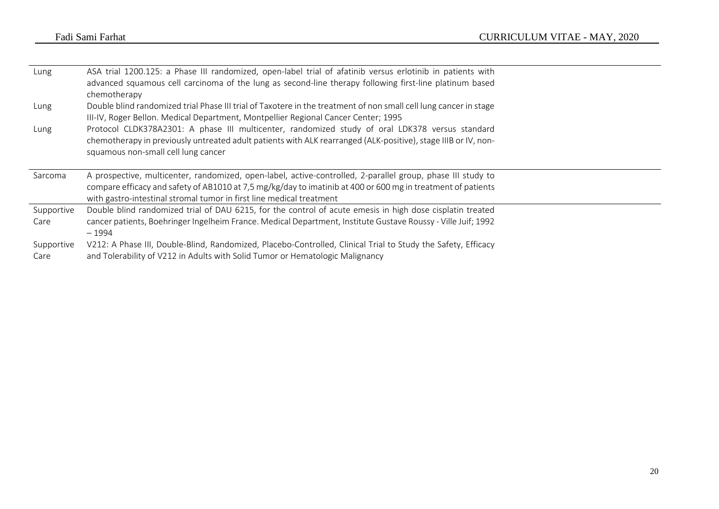| Lung       | ASA trial 1200.125: a Phase III randomized, open-label trial of afatinib versus erlotinib in patients with<br>advanced squamous cell carcinoma of the lung as second-line therapy following first-line platinum based |  |
|------------|-----------------------------------------------------------------------------------------------------------------------------------------------------------------------------------------------------------------------|--|
|            | chemotherapy                                                                                                                                                                                                          |  |
| Lung       | Double blind randomized trial Phase III trial of Taxotere in the treatment of non small cell lung cancer in stage<br>III-IV, Roger Bellon. Medical Department, Montpellier Regional Cancer Center; 1995               |  |
| Lung       | Protocol CLDK378A2301: A phase III multicenter, randomized study of oral LDK378 versus standard                                                                                                                       |  |
|            | chemotherapy in previously untreated adult patients with ALK rearranged (ALK-positive), stage IIIB or IV, non-                                                                                                        |  |
|            | squamous non-small cell lung cancer                                                                                                                                                                                   |  |
|            |                                                                                                                                                                                                                       |  |
|            |                                                                                                                                                                                                                       |  |
| Sarcoma    | A prospective, multicenter, randomized, open-label, active-controlled, 2-parallel group, phase III study to                                                                                                           |  |
|            | compare efficacy and safety of AB1010 at 7,5 mg/kg/day to imatinib at 400 or 600 mg in treatment of patients                                                                                                          |  |
|            | with gastro-intestinal stromal tumor in first line medical treatment                                                                                                                                                  |  |
| Supportive | Double blind randomized trial of DAU 6215, for the control of acute emesis in high dose cisplatin treated                                                                                                             |  |
| Care       | cancer patients, Boehringer Ingelheim France. Medical Department, Institute Gustave Roussy - Ville Juif; 1992<br>$-1994$                                                                                              |  |
| Supportive | V212: A Phase III, Double-Blind, Randomized, Placebo-Controlled, Clinical Trial to Study the Safety, Efficacy                                                                                                         |  |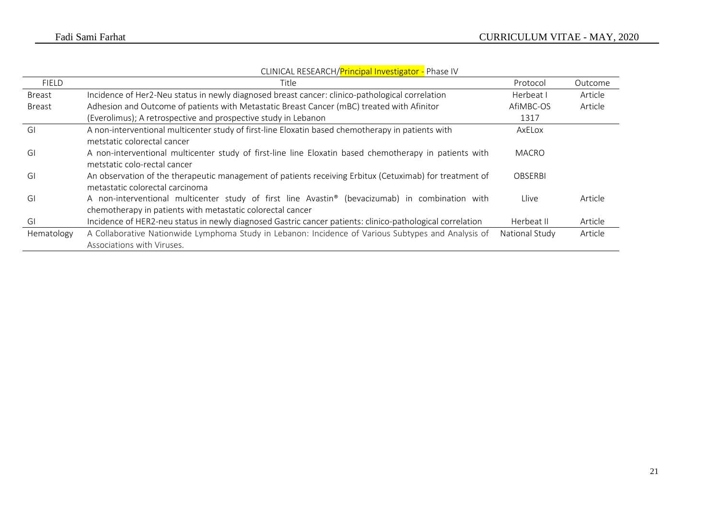|               | <u> CLINICAL NESEANCH/PHILUPALITIVESURALUI - PHASE IV</u>                                                 |                |         |
|---------------|-----------------------------------------------------------------------------------------------------------|----------------|---------|
| <b>FIELD</b>  | Title                                                                                                     | Protocol       | Outcome |
| Breast        | Incidence of Her2-Neu status in newly diagnosed breast cancer: clinico-pathological correlation           | Herbeat I      | Article |
| <b>Breast</b> | Adhesion and Outcome of patients with Metastatic Breast Cancer (mBC) treated with Afinitor                | AfiMBC-OS      | Article |
|               | (Everolimus); A retrospective and prospective study in Lebanon                                            | 1317           |         |
| GI            | A non-interventional multicenter study of first-line Eloxatin based chemotherapy in patients with         | AxELox         |         |
|               | metstatic colorectal cancer                                                                               |                |         |
| GI            | A non-interventional multicenter study of first-line line Eloxatin based chemotherapy in patients with    | MACRO          |         |
|               | metstatic colo-rectal cancer                                                                              |                |         |
| GI            | An observation of the therapeutic management of patients receiving Erbitux (Cetuximab) for treatment of   | <b>OBSERBI</b> |         |
|               | metastatic colorectal carcinoma                                                                           |                |         |
| GI            | A non-interventional multicenter study of first line Avastin® (bevacizumab) in combination with           | Llive          | Article |
|               | chemotherapy in patients with metastatic colorectal cancer                                                |                |         |
| GI            | Incidence of HER2-neu status in newly diagnosed Gastric cancer patients: clinico-pathological correlation | Herbeat II     | Article |
| Hematology    | A Collaborative Nationwide Lymphoma Study in Lebanon: Incidence of Various Subtypes and Analysis of       | National Study | Article |
|               | Associations with Viruses.                                                                                |                |         |

CLINICAL RESEARCH/Principal Investigator - Phase IV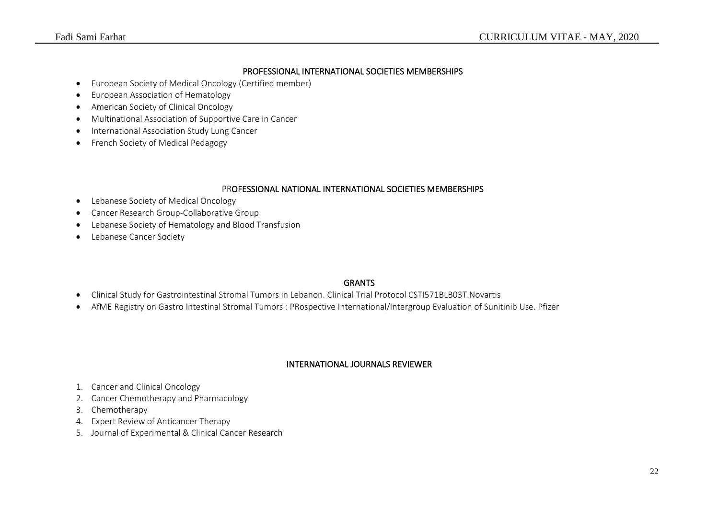### PROFESSIONAL INTERNATIONAL SOCIETIES MEMBERSHIPS

- European Society of Medical Oncology (Certified member)
- European Association of Hematology
- American Society of Clinical Oncology
- Multinational Association of Supportive Care in Cancer
- International Association Study Lung Cancer
- French Society of Medical Pedagogy

## PROFESSIONAL NATIONAL INTERNATIONAL SOCIETIES MEMBERSHIPS

- Lebanese Society of Medical Oncology
- Cancer Research Group-Collaborative Group
- Lebanese Society of Hematology and Blood Transfusion
- Lebanese Cancer Society

## **GRANTS**

- Clinical Study for Gastrointestinal Stromal Tumors in Lebanon. Clinical Trial Protocol CSTI571BLB03T.Novartis
- AfME Registry on Gastro Intestinal Stromal Tumors : PRospective International/Intergroup Evaluation of Sunitinib Use. Pfizer

## INTERNATIONAL JOURNALS REVIEWER

- 1. Cancer and Clinical Oncology
- 2. Cancer Chemotherapy and Pharmacology
- 3. Chemotherapy
- 4. Expert Review of Anticancer Therapy
- 5. Journal of Experimental & Clinical Cancer Research